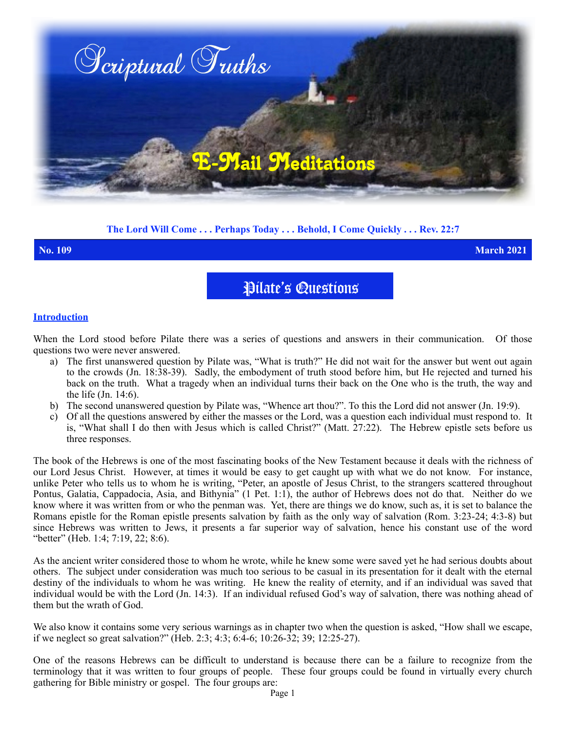

# **The Lord Will Come . . . Perhaps Today . . . Behold, I Come Quickly . . . Rev. 22:7**

**No. 109 March 2021**

Pilate's Questions

### **Introduction**

When the Lord stood before Pilate there was a series of questions and answers in their communication. Of those questions two were never answered.

- a) The first unanswered question by Pilate was, "What is truth?" He did not wait for the answer but went out again to the crowds (Jn. 18:38-39). Sadly, the embodyment of truth stood before him, but He rejected and turned his back on the truth. What a tragedy when an individual turns their back on the One who is the truth, the way and the life (Jn. 14:6).
- b) The second unanswered question by Pilate was, "Whence art thou?". To this the Lord did not answer (Jn. 19:9).
- c) Of all the questions answered by either the masses or the Lord, was a question each individual must respond to. It is, "What shall I do then with Jesus which is called Christ?" (Matt. 27:22). The Hebrew epistle sets before us three responses.

The book of the Hebrews is one of the most fascinating books of the New Testament because it deals with the richness of our Lord Jesus Christ. However, at times it would be easy to get caught up with what we do not know. For instance, unlike Peter who tells us to whom he is writing, "Peter, an apostle of Jesus Christ, to the strangers scattered throughout Pontus, Galatia, Cappadocia, Asia, and Bithynia" (1 Pet. 1:1), the author of Hebrews does not do that. Neither do we know where it was written from or who the penman was. Yet, there are things we do know, such as, it is set to balance the Romans epistle for the Roman epistle presents salvation by faith as the only way of salvation (Rom. 3:23-24; 4:3-8) but since Hebrews was written to Jews, it presents a far superior way of salvation, hence his constant use of the word "better" (Heb. 1:4; 7:19, 22; 8:6).

As the ancient writer considered those to whom he wrote, while he knew some were saved yet he had serious doubts about others. The subject under consideration was much too serious to be casual in its presentation for it dealt with the eternal destiny of the individuals to whom he was writing. He knew the reality of eternity, and if an individual was saved that individual would be with the Lord (Jn. 14:3). If an individual refused God's way of salvation, there was nothing ahead of them but the wrath of God.

We also know it contains some very serious warnings as in chapter two when the question is asked, "How shall we escape, if we neglect so great salvation?" (Heb. 2:3; 4:3; 6:4-6; 10:26-32; 39; 12:25-27).

One of the reasons Hebrews can be difficult to understand is because there can be a failure to recognize from the terminology that it was written to four groups of people. These four groups could be found in virtually every church gathering for Bible ministry or gospel. The four groups are: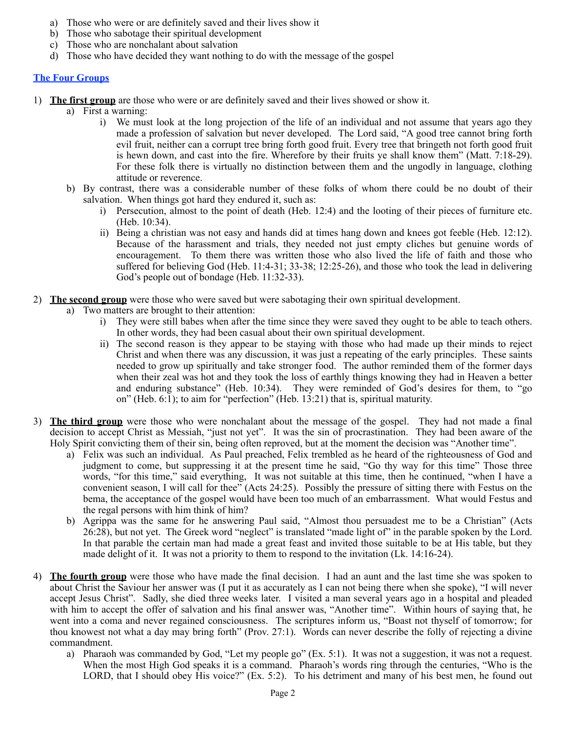- a) Those who were or are definitely saved and their lives show it
- b) Those who sabotage their spiritual development
- c) Those who are nonchalant about salvation
- d) Those who have decided they want nothing to do with the message of the gospel

## **The Four Groups**

- 1) **The first group** are those who were or are definitely saved and their lives showed or show it.
	- a) First a warning:
		- i) We must look at the long projection of the life of an individual and not assume that years ago they made a profession of salvation but never developed. The Lord said, "A good tree cannot bring forth evil fruit, neither can a corrupt tree bring forth good fruit. Every tree that bringeth not forth good fruit is hewn down, and cast into the fire. Wherefore by their fruits ye shall know them" (Matt. 7:18-29). For these folk there is virtually no distinction between them and the ungodly in language, clothing attitude or reverence.
	- b) By contrast, there was a considerable number of these folks of whom there could be no doubt of their salvation. When things got hard they endured it, such as:
		- i) Persecution, almost to the point of death (Heb. 12:4) and the looting of their pieces of furniture etc. (Heb. 10:34).
		- ii) Being a christian was not easy and hands did at times hang down and knees got feeble (Heb. 12:12). Because of the harassment and trials, they needed not just empty cliches but genuine words of encouragement. To them there was written those who also lived the life of faith and those who suffered for believing God (Heb. 11:4-31; 33-38; 12:25-26), and those who took the lead in delivering God's people out of bondage (Heb. 11:32-33).
- 2) **The second group** were those who were saved but were sabotaging their own spiritual development.
	- a) Two matters are brought to their attention:
		- i) They were still babes when after the time since they were saved they ought to be able to teach others. In other words, they had been casual about their own spiritual development.
		- ii) The second reason is they appear to be staying with those who had made up their minds to reject Christ and when there was any discussion, it was just a repeating of the early principles. These saints needed to grow up spiritually and take stronger food. The author reminded them of the former days when their zeal was hot and they took the loss of earthly things knowing they had in Heaven a better and enduring substance" (Heb. 10:34). They were reminded of God's desires for them, to "go on" (Heb. 6:1); to aim for "perfection" (Heb. 13:21) that is, spiritual maturity.
- 3) **The third group** were those who were nonchalant about the message of the gospel. They had not made a final decision to accept Christ as Messiah, "just not yet". It was the sin of procrastination. They had been aware of the Holy Spirit convicting them of their sin, being often reproved, but at the moment the decision was "Another time".
	- a) Felix was such an individual. As Paul preached, Felix trembled as he heard of the righteousness of God and judgment to come, but suppressing it at the present time he said, "Go thy way for this time" Those three words, "for this time," said everything, It was not suitable at this time, then he continued, "when I have a convenient season, I will call for thee" (Acts 24:25). Possibly the pressure of sitting there with Festus on the bema, the acceptance of the gospel would have been too much of an embarrassment. What would Festus and the regal persons with him think of him?
	- b) Agrippa was the same for he answering Paul said, "Almost thou persuadest me to be a Christian" (Acts 26:28), but not yet. The Greek word "neglect" is translated "made light of" in the parable spoken by the Lord. In that parable the certain man had made a great feast and invited those suitable to be at His table, but they made delight of it. It was not a priority to them to respond to the invitation (Lk. 14:16-24).
- 4) **The fourth group** were those who have made the final decision. I had an aunt and the last time she was spoken to about Christ the Saviour her answer was (I put it as accurately as I can not being there when she spoke), "I will never accept Jesus Christ". Sadly, she died three weeks later. I visited a man several years ago in a hospital and pleaded with him to accept the offer of salvation and his final answer was, "Another time". Within hours of saying that, he went into a coma and never regained consciousness. The scriptures inform us, "Boast not thyself of tomorrow; for thou knowest not what a day may bring forth" (Prov. 27:1). Words can never describe the folly of rejecting a divine commandment.
	- a) Pharaoh was commanded by God, "Let my people go" (Ex. 5:1). It was not a suggestion, it was not a request. When the most High God speaks it is a command. Pharaoh's words ring through the centuries, "Who is the LORD, that I should obey His voice?" (Ex. 5:2). To his detriment and many of his best men, he found out